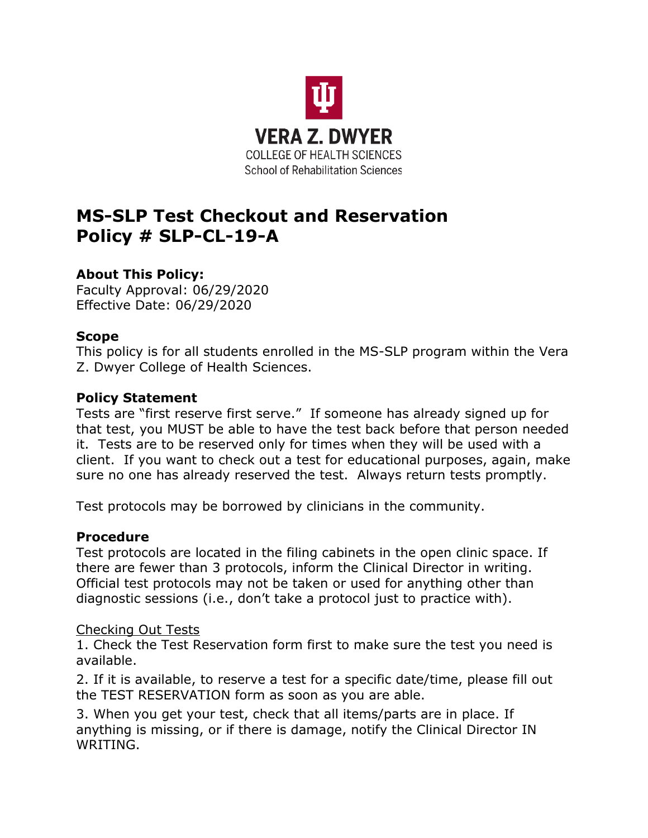

# **MS-SLP Test Checkout and Reservation Policy # SLP-CL-19-A**

# **About This Policy:**

Faculty Approval: 06/29/2020 Effective Date: 06/29/2020

#### **Scope**

This policy is for all students enrolled in the MS-SLP program within the Vera Z. Dwyer College of Health Sciences.

## **Policy Statement**

Tests are "first reserve first serve." If someone has already signed up for that test, you MUST be able to have the test back before that person needed it. Tests are to be reserved only for times when they will be used with a client. If you want to check out a test for educational purposes, again, make sure no one has already reserved the test. Always return tests promptly.

Test protocols may be borrowed by clinicians in the community.

# **Procedure**

Test protocols are located in the filing cabinets in the open clinic space. If there are fewer than 3 protocols, inform the Clinical Director in writing. Official test protocols may not be taken or used for anything other than diagnostic sessions (i.e., don't take a protocol just to practice with).

#### Checking Out Tests

1. Check the Test Reservation form first to make sure the test you need is available.

2. If it is available, to reserve a test for a specific date/time, please fill out the TEST RESERVATION form as soon as you are able.

3. When you get your test, check that all items/parts are in place. If anything is missing, or if there is damage, notify the Clinical Director IN WRITING.